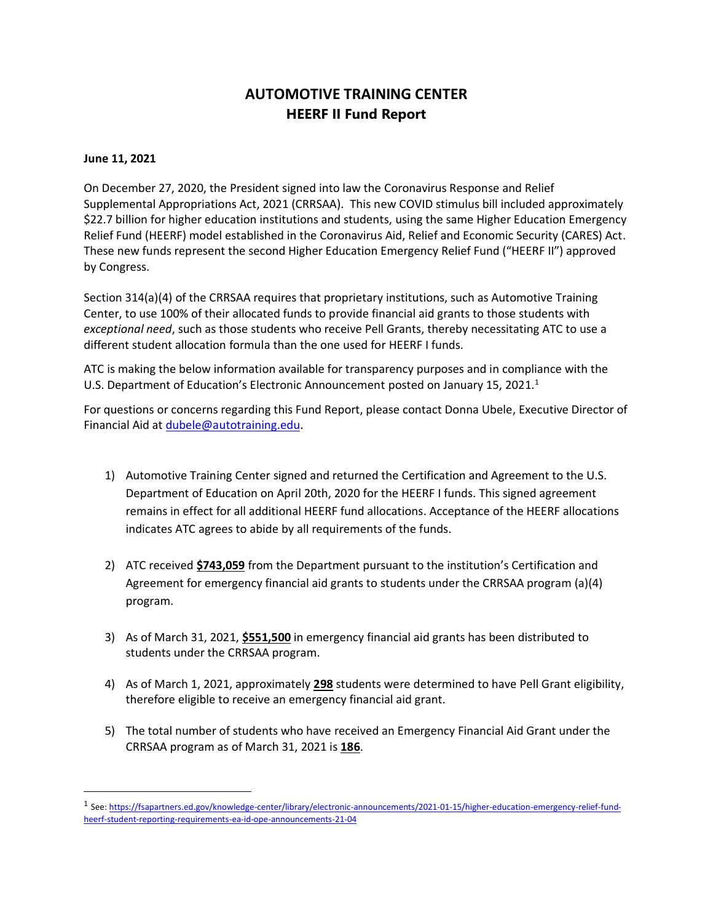## **AUTOMOTIVE TRAINING CENTER HEERF II Fund Report**

## **June 11, 2021**

On December 27, 2020, the President signed into law the Coronavirus Response and Relief Supplemental Appropriations Act, 2021 (CRRSAA). This new COVID stimulus bill included approximately \$22.7 billion for higher education institutions and students, using the same Higher Education Emergency Relief Fund (HEERF) model established in the Coronavirus Aid, Relief and Economic Security (CARES) Act. These new funds represent the second Higher Education Emergency Relief Fund ("HEERF II") approved by Congress.

Section 314(a)(4) of the CRRSAA requires that proprietary institutions, such as Automotive Training Center, to use 100% of their allocated funds to provide financial aid grants to those students with *exceptional need*, such as those students who receive Pell Grants, thereby necessitating ATC to use a different student allocation formula than the one used for HEERF I funds.

ATC is making the below information available for transparency purposes and in compliance with the U.S. Department of Education's Electronic Announcement posted on January 15, 2021. 1

For questions or concerns regarding this Fund Report, please contact Donna Ubele, Executive Director of Financial Aid at [dubele@autotraining.edu.](mailto:dubele@autotraining.edu)

- 1) Automotive Training Center signed and returned the Certification and Agreement to the U.S. Department of Education on April 20th, 2020 for the HEERF I funds. This signed agreement remains in effect for all additional HEERF fund allocations. Acceptance of the HEERF allocations indicates ATC agrees to abide by all requirements of the funds.
- 2) ATC received **\$743,059** from the Department pursuant to the institution's Certification and Agreement for emergency financial aid grants to students under the CRRSAA program (a)(4) program.
- 3) As of March 31, 2021, **\$551,500** in emergency financial aid grants has been distributed to students under the CRRSAA program.
- 4) As of March 1, 2021, approximately **298** students were determined to have Pell Grant eligibility, therefore eligible to receive an emergency financial aid grant.
- 5) The total number of students who have received an Emergency Financial Aid Grant under the CRRSAA program as of March 31, 2021 is **186**.

<sup>&</sup>lt;sup>1</sup> See[: https://fsapartners.ed.gov/knowledge-center/library/electronic-announcements/2021-01-15/higher-education-emergency-relief-fund](https://fsapartners.ed.gov/knowledge-center/library/electronic-announcements/2021-01-15/higher-education-emergency-relief-fund-heerf-student-reporting-requirements-ea-id-ope-announcements-21-04)[heerf-student-reporting-requirements-ea-id-ope-announcements-21-04](https://fsapartners.ed.gov/knowledge-center/library/electronic-announcements/2021-01-15/higher-education-emergency-relief-fund-heerf-student-reporting-requirements-ea-id-ope-announcements-21-04)